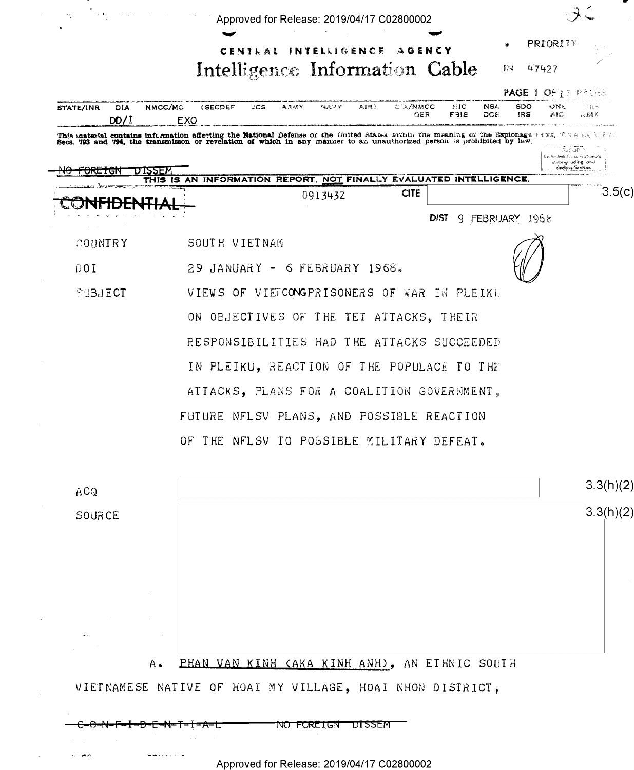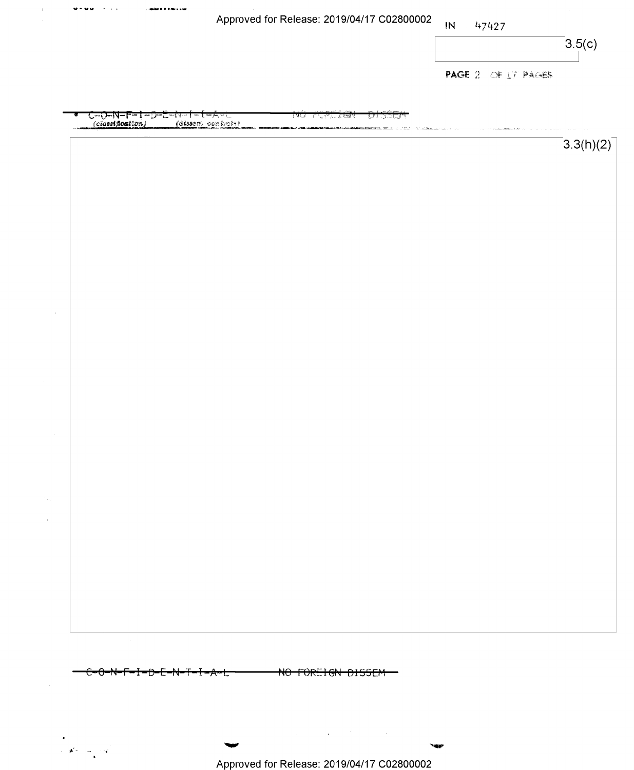|        |                                                                                     | Approved for Release: 2019/04/17 C02800002 |                                                                                                     | $\mathbb{N}$ | 47427              | 3.5(c)    |
|--------|-------------------------------------------------------------------------------------|--------------------------------------------|-----------------------------------------------------------------------------------------------------|--------------|--------------------|-----------|
|        |                                                                                     |                                            |                                                                                                     |              |                    |           |
|        |                                                                                     |                                            |                                                                                                     |              | PAGE 2 OF 17 PAGES |           |
|        |                                                                                     |                                            |                                                                                                     |              |                    |           |
|        | C <del>-O-N-F-I-D-E-IV-T-I-A-I</del><br><i>(classification) (dissem combinal</i> ») | अर्<br>্য হতা ব                            | ا گیا<br>لاسات في،<br><b>Nota-Ennancem, Menter Louis (1922) - The Condition (1922) - Louis (193</b> |              |                    |           |
|        |                                                                                     |                                            |                                                                                                     |              |                    | 3.3(h)(2) |
|        |                                                                                     |                                            |                                                                                                     |              |                    |           |
|        |                                                                                     |                                            |                                                                                                     |              |                    |           |
|        |                                                                                     |                                            |                                                                                                     |              |                    |           |
|        |                                                                                     |                                            |                                                                                                     |              |                    |           |
|        |                                                                                     |                                            |                                                                                                     |              |                    |           |
|        |                                                                                     |                                            |                                                                                                     |              |                    |           |
|        |                                                                                     |                                            |                                                                                                     |              |                    |           |
|        |                                                                                     |                                            |                                                                                                     |              |                    |           |
|        |                                                                                     |                                            |                                                                                                     |              |                    |           |
|        |                                                                                     |                                            |                                                                                                     |              |                    |           |
|        |                                                                                     |                                            |                                                                                                     |              |                    |           |
|        |                                                                                     |                                            |                                                                                                     |              |                    |           |
|        |                                                                                     |                                            |                                                                                                     |              |                    |           |
|        |                                                                                     |                                            |                                                                                                     |              |                    |           |
|        |                                                                                     |                                            |                                                                                                     |              |                    |           |
|        |                                                                                     |                                            |                                                                                                     |              |                    |           |
|        |                                                                                     |                                            |                                                                                                     |              |                    |           |
|        |                                                                                     |                                            |                                                                                                     |              |                    |           |
|        |                                                                                     |                                            |                                                                                                     |              |                    |           |
|        |                                                                                     |                                            |                                                                                                     |              |                    |           |
|        |                                                                                     |                                            |                                                                                                     |              |                    |           |
|        |                                                                                     |                                            |                                                                                                     |              |                    |           |
|        |                                                                                     |                                            |                                                                                                     |              |                    |           |
| $\sim$ |                                                                                     |                                            |                                                                                                     |              |                    |           |
|        |                                                                                     |                                            |                                                                                                     |              |                    |           |
|        | <del>ᢗ᠇᠐᠆N╾<b></b>ᠮ╾Ī╼₯᠊ᢄ᠆N╾ᢪ╾ᠮ╼₳╍ᡫ</del>                                           | NO FOREIGN DISSEM                          |                                                                                                     |              |                    |           |
|        |                                                                                     |                                            |                                                                                                     |              |                    |           |
|        |                                                                                     |                                            |                                                                                                     |              |                    |           |
|        |                                                                                     | <b>College College</b>                     | the control of the control of the control                                                           |              |                    |           |

 $\hat{\boldsymbol{\theta}}$ 

 $\omega_{\rm{p}}$  .  $\mathcal{L}^{\mathcal{L}}$ 

Approved for Release: 2019/04/17 C02800002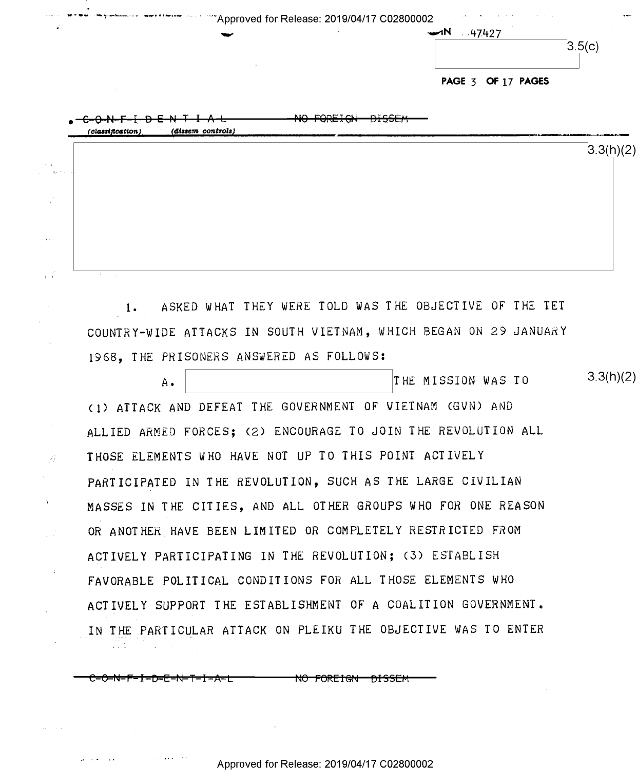|  | $\blacktriangleright$<br>.47427 |
|--|---------------------------------|
|  | 3.5(c)                          |
|  | PAGE 3 OF 17 PAGES              |

 $3.3(h)(2)$ 

| $D-E-N+I-A+$<br>$\sim$ $\sim$ $\mu$<br>(classification)<br>(dissem controls) | NO CODETALL<br><b>DISSEM</b><br>11 <del>0 1 010 1 011</del> |                                                                                                           |
|------------------------------------------------------------------------------|-------------------------------------------------------------|-----------------------------------------------------------------------------------------------------------|
|                                                                              |                                                             | <b>MORTZ &amp; MORTHAM IN AN AMARCHIVE, "IN A BURGER OF A BURGER OF A BURGER OF A BURGER</b><br>3.3(h)(2) |
|                                                                              |                                                             |                                                                                                           |
|                                                                              |                                                             |                                                                                                           |
|                                                                              |                                                             |                                                                                                           |
|                                                                              |                                                             |                                                                                                           |
| $\sim$<br>and a state                                                        |                                                             |                                                                                                           |

1- ASKED WHAT THEY WERE TOLD WAS THE OBJECTIVE OF THE TET COUNTRY-WIDE ATTACKS IN SOUTH VIETNAM, WHICH BEGAN ON 29 JANUARY 1968, THE PRISONERS ANSWERED AS FOLLOWS:

THE MISSION WAS TO  $A$ . (1) ATTACK AND DEFEAT THE GOVERNMENT OF VIETNAM (GVN) AND ALLIED ARMED FORCES; (2) ENCOURAGE TO JOIN THE REVOLUTION ALL THOSE ELEMENTS WHO HAVE NOT UP TO THIS POINT ACTIVELY PARTICIPATED IN THE REVOLUTION, SUCH AS THE LARGE CIVILIAN MASSES IN THE CITIES, AND ALL OTHER GROUPS WHO FOR ONE REASON OR ANOTHER HAVE BEEN LIMITED OR COMPLETELY RESTRICTED FROM ACTIVELY PARTICIPATING IN THE REVOLUTION; (3) ESTABLISH FAVORABLE POLITICAL CONDITIONS FOR ALL THOSE ELEMENTS WHO ACTIVELY SUPPORT THE ESTABLISHMENT OF A COALITION GOVERNMENT. IN THE PARTICULAR ATTACK ON PLEIKU THE OBJECTIVE WAS TO ENTER 같은 일

—€=O=N=F—I—D=E—N—T—I-A=L <del>NO FOREIGN DISSEM</del>

 $\sim$   $^2$ 

 $\frac{1}{\sqrt{2}}$ 

 $\gamma$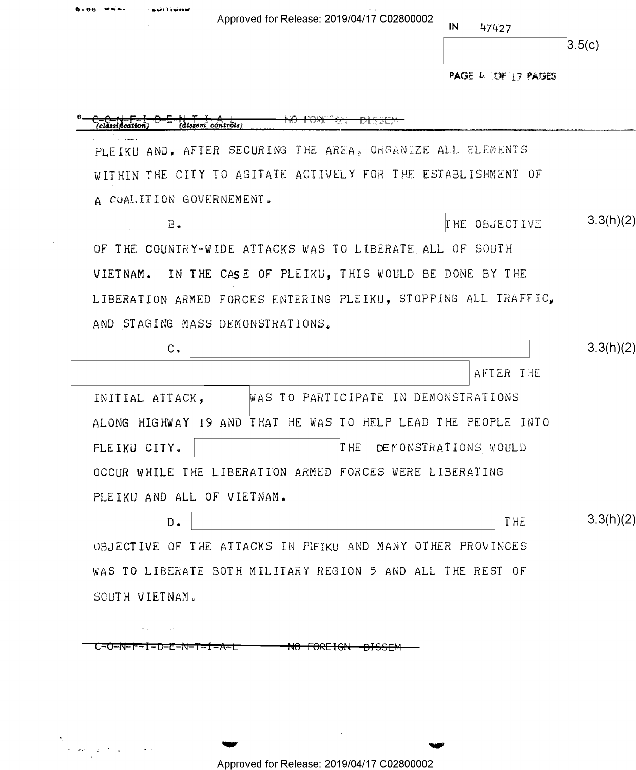$0 - 06$ 

 $\mathcal{L}$ 

 $\label{eq:1} \omega_{\mathcal{P}}(\omega_{\mathcal{P}}) = \omega^{-1/2} \omega_{\mathcal{P}} \,.$ 

 $\omega$ 

sial i raine

 ${\sf IN}$ 47427

|  | 1<br>. э<br>L |
|--|---------------|

PAGE 4 OF 17 PAGES

|                                  | PLEIKU AND. AFTER SECURING THE AREA, ORGANIZE ALL ELEMENTS     |           |
|----------------------------------|----------------------------------------------------------------|-----------|
|                                  | WITHIN THE CITY TO AGITATE ACTIVELY FOR THE ESTABLISHMENT OF   |           |
| A COALITION GOVERNEMENT.         |                                                                |           |
| $B -$                            | THE OBJECTIVE                                                  | 3.3(h)(2) |
|                                  | OF THE COUNTRY-WIDE ATTACKS WAS TO LIBERATE ALL OF SOUTH       |           |
|                                  | VIETNAM. IN THE CASE OF PLEIKU, THIS WOULD BE DONE BY THE      |           |
|                                  | LIBERATION ARMED FORCES ENTERING PLEIKU, STOPPING ALL TRAFFIC, |           |
| AND STAGING MASS DEMONSTRATIONS. |                                                                |           |
| $C_{\bullet}$                    |                                                                | 3.3(h)(2) |
|                                  | AFTER THE                                                      |           |
| INITIAL ATTACK,                  | WAS TO PARTICIPATE IN DEMONSTRATIONS                           |           |
|                                  | ALONG HIGHWAY 19 AND THAT HE WAS TO HELP LEAD THE PEOPLE INTO  |           |
| PLEIKU CITY.                     | T HE<br>DEMONSTRATIONS WOULD                                   |           |
|                                  | OCCUR WHILE THE LIBERATION ARMED FORCES WERE LIBERATING        |           |
| PLEIKU AND ALL OF VIETNAM.       |                                                                |           |
| $D$ .                            | T HE                                                           | 3.3(h)(2) |
|                                  | OBJECTIVE OF THE ATTACKS IN PIEIKU AND MANY OTHER PROVINCES    |           |
|                                  | WAS TO LIBERATE BOTH MILITARY REGION 5 AND ALL THE REST OF     |           |
| SOUTH VIETNAM.                   |                                                                |           |

Approved for Release: 2019/04/17 C02800002

 $\alpha$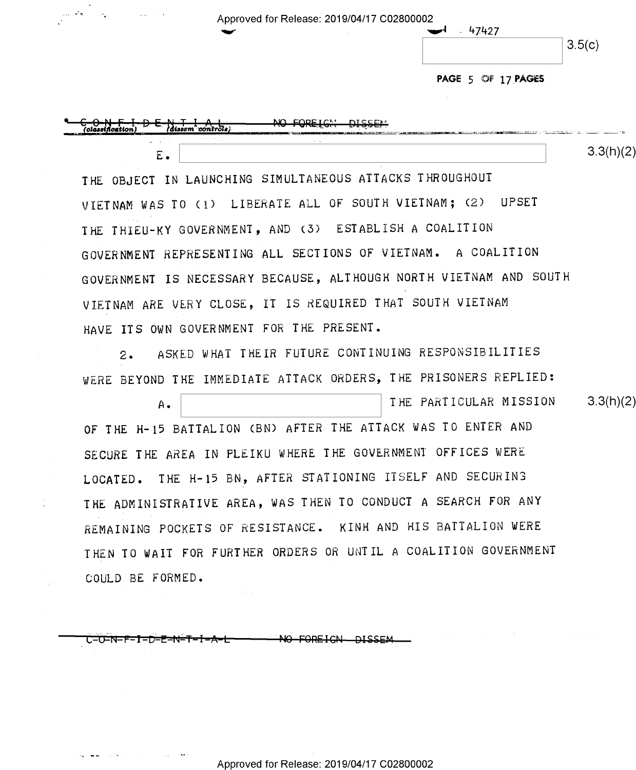| <b>Service</b> | Approved for Release: 2019/04/17 C02800002 |                           |        |
|----------------|--------------------------------------------|---------------------------|--------|
|                |                                            | 47427<br><b>Telephone</b> | 3.5(c) |
|                |                                            | PAGE 5 OF 17 PAGES        |        |



COULD BE FORMED.

**DISSEN** C=0=N=F=1=D=E=N=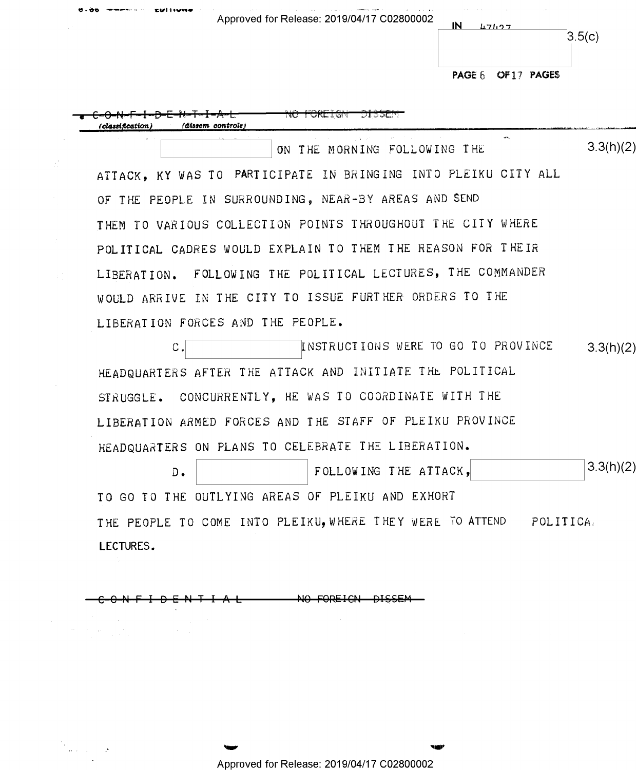| Approved for Release: 2019/04/17 C02800002 | ΙN | 117107             | 3.5(c) |
|--------------------------------------------|----|--------------------|--------|
|                                            |    | PAGE 6 OF 17 PAGES |        |

*(classification)* (dissem controls)  $\mathbf{r}$  $3.3(h)(2)$ ON THE MORNING FOLLOWING THE ATTACK, KY WAS TO PARTICIPATE IN BRINGING INTO PLEIKU CITY ALL OF THE PEOPLE IN SURROUNDING, NEAR-BY AREAS AND SEND THEM TO VARIOUS COLLECTION POINTS THROUGHOUT THE CITY WHERE POLITICAL CADRES WOULD EXPLAIN TO THEM THE REASON FOR THEIR LIBERATION. FOLLOWING THE POLITICAL LECTURES, THE COMMANDER WOULD ARRIVE IN THE CITY TO ISSUE FURTHER ORDERS TO THE LIBERATION FORCES AND THE PEOPLE. INSTRUCTIONS WERE TO GO TO PROVINCE  $C_{\bullet}$  $3.3(h)(2)$ HEADQUARTERS AFTER THE ATTACK AND INITIATE THE POLITICAL STRUGGLE. CONCURRENTLY, HE WAS TO COORDINATE WITH THE LIBERATION ARMED FORCES AND THE STAFF OF PLEIKU PROVINCE HEADQUARTERS ON PLANS TO CELEBRATE THE LIBERATION.  $3.3(h)(2)$ FOLLOWING THE ATTACK,  $D -$ TO GO TO THE OUTLYING AREAS OF PLEIKU AND EXHORT THE PEOPLE TO COME INTO PLEIKU, WHERE THEY WERE TO ATTEND POLITICA. LECTURES.

NO FOREIGN

 $\omega_{\rm{eff}}$  ,  $\omega_{\rm{eff}}$ 

Approved for Release: 2019/04/17 C02800002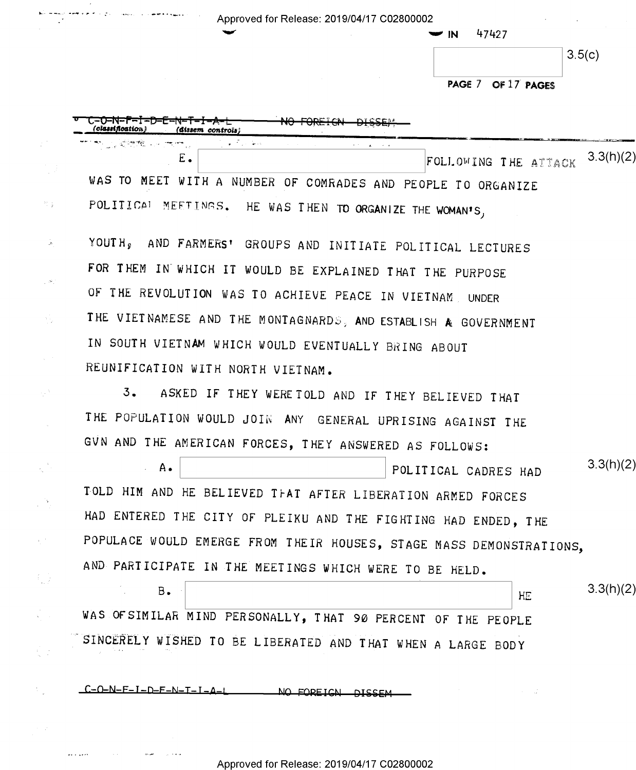| Approved for Release: 2019/04/17 C02800002                     | 47427<br>$\blacktriangleright$ IN |
|----------------------------------------------------------------|-----------------------------------|
|                                                                | 3.5(c)                            |
|                                                                | PAGE 7 OF 17 PAGES                |
| (cl <b>assificatio</b> n)<br>(dissem controls)                 |                                   |
| المتعلق والأراجي<br>riju (zapred komponiji)<br>Ε.              | 3.3(h)(2)<br>FOLLOWING THE ATTACK |
| WAS TO MEET WITH A NUMBER OF COMRADES AND PEOPLE TO ORGANIZE   |                                   |
| POLITICAL MEETINGS. HE WAS THEN TO ORGANIZE THE WOMAN'S,       |                                   |
| YOUTH, AND FARMERS' GROUPS AND INITIATE POLITICAL LECTURES     |                                   |
| FOR THEM IN WHICH IT WOULD BE EXPLAINED THAT THE PURPOSE       |                                   |
| OF THE REVOLUTION WAS TO ACHIEVE PEACE IN VIETNAM, UNDER       |                                   |
| THE VIETNAMESE AND THE MONTAGNARDS, AND ESTABLISH A GOVERNMENT |                                   |

ASKED IF THEY WERE TOLD AND IF THEY BELIEVED THAT  $3.$ 

REUNIFICATION WITH NORTH VIETNAM.

IN SOUTH VIETNAM WHICH WOULD EVENTUALLY BRING ABOUT

苦臭

ΛŊ.

 $\hat{\mathcal{N}}$ 

 $\chi^2$  .

fuz

 $\frac{1}{\lambda_0}=\frac{1}{\lambda_0}$ 

 $\mathcal{N}_\text{L}$ 

THE POPULATION WOULD JOIN ANY GENERAL UPRISING AGAINST THE GVN AND THE AMERICAN FORCES, THEY ANSWERED AS FOLLOWS:

 $3.3(h)(2)$  $A -$ POLITICAL CADRES HAD TOLD HIM AND HE BELIEVED TFAT AFTER LIBERATION ARMED FORCES HAD ENTERED THE CITY OF PLEIKU AND THE FIGHTING HAD ENDED, THE POPULACE WOULD EMERGE FROM THEIR HOUSES, STAGE MASS DEMONSTRATIONS, AND PARTICIPATE IN THE MEETINGS WHICH WERE TO BE HELD.

 $3.3(h)(2)$  $B -$ HE WAS OFSIMILAR MIND PERSONALLY, THAT 90 PERCENT OF THE PEOPLE SINCERELY WISHED TO BE LIBERATED AND THAT WHEN A LARGE BODY

 $C = 0 - N - F - I - D - F - N - I - I - A - I$ NO FODETCN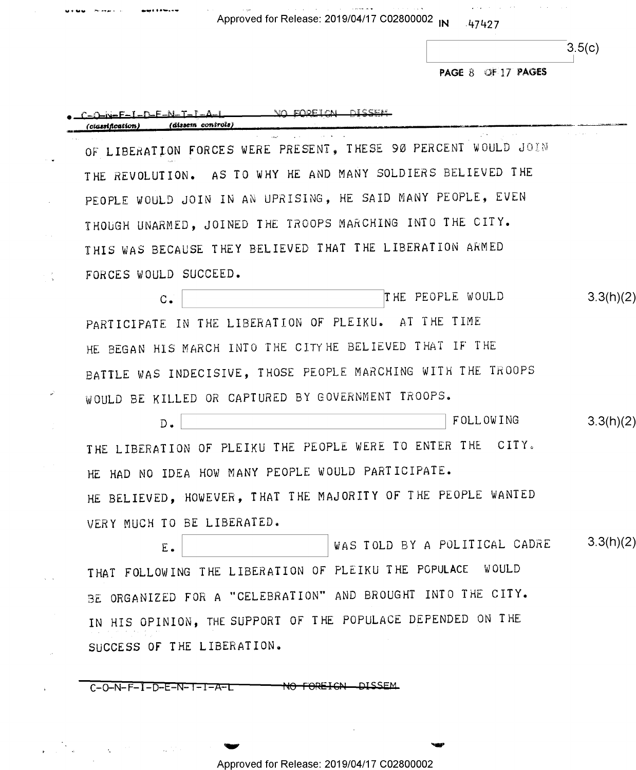Approved for Release: 2019/04/17 C02800002 IN 47427

×,

an<br>Sin⊁

لنوا

 $\mathcal{A}$ 

a Pra

 $\bar{\zeta}$ 

 $\mathbf{r}$ 

 $\mathcal{A}^{(1)}$ 

 $3.5(c)$ 

PAGE 8 OF 17 PAGES

 $\mathcal{O}(\mathcal{A}^{\mathcal{A}})$  and  $\mathcal{O}(\mathcal{A}^{\mathcal{A}})$  , where  $\mathcal{O}(\mathcal{A}^{\mathcal{A}})$  are the set of  $\mathcal{A}$ 

| (dissem controls)<br>(classification)                          |           |
|----------------------------------------------------------------|-----------|
| OF LIBERATION FORCES WERE PRESENT, THESE 90 PERCENT WOULD JOIN |           |
| THE REVOLUTION. AS TO WHY HE AND MANY SOLDIERS BELIEVED THE    |           |
| PEOPLE WOULD JOIN IN AN UPRISING, HE SAID MANY PEOPLE, EVEN    |           |
| THOUGH UNARMED, JOINED THE TROOPS MARCHING INTO THE CITY.      |           |
| THIS WAS BECAUSE THEY BELIEVED THAT THE LIBERATION ARMED       |           |
| FORCES WOULD SUCCEED.                                          |           |
| THE PEOPLE WOULD<br>$C -$                                      | 3.3(h)(2) |
| PARTICIPATE IN THE LIBERATION OF PLEIKU. AT THE TIME           |           |
| HE BEGAN HIS MARCH INTO THE CITY HE BELIEVED THAT IF THE       |           |
| BATTLE WAS INDECISIVE, THOSE PEOPLE MARCHING WITH THE TROOPS   |           |
| WOULD BE KILLED OR CAPTURED BY GOVERNMENT TROOPS.              |           |
| FOLLOWING<br>$D$ .                                             | 3.3(h)(2) |
| THE LIBERATION OF PLEIKU THE PEOPLE WERE TO ENTER THE CITY.    |           |
| HE HAD NO IDEA HOW MANY PEOPLE WOULD PARTICIPATE.              |           |
| HE BELIEVED, HOWEVER, THAT THE MAJORITY OF THE PEOPLE WANTED   |           |
| VERY MUCH TO BE LIBERATED.                                     |           |
| WAS TOLD BY A POLITICAL CADRE<br>$\mathbf E$ .                 | 3.3(h)(2) |
| THAT FOLLOWING THE LIBERATION OF PLEIKU THE POPULACE WOULD     |           |
| BE ORGANIZED FOR A "CELEBRATION" AND BROUGHT INTO THE CITY.    |           |
| IN HIS OPINION, THE SUPPORT OF THE POPULACE DEPENDED ON THE    |           |
| SUCCESS OF THE LIBERATION.                                     |           |

Approved for Release: 2019/04/17 C02800002

in the contract of the contract of the contract of the contract of the contract of the contract of the contract of the contract of the contract of the contract of the contract of the contract of the contract of the contra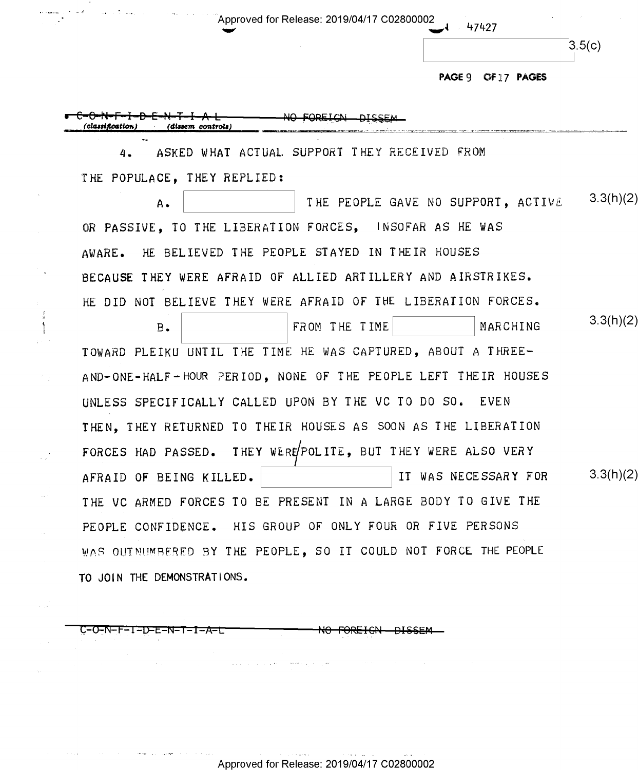$3.5(c)$ 

PAGE 9 OF 17 PAGES

47427

NO FOREICN <u>nicc</u> *Classification* (dissem controls)

 $\frac{1}{1}$ 

ASKED WHAT ACTUAL SUPPORT THEY RECEIVED FROM 4. THE POPULACE. THEY REPLIED:

 $3.3(h)(2)$ THE PEOPLE GAVE NO SUPPORT. ACTIVE Α. OR PASSIVE. TO THE LIBERATION FORCES, INSOFAR AS HE WAS HE BELIEVED THE PEOPLE STAYED IN THEIR HOUSES AWARE. BECAUSE THEY WERE AFRAID OF ALLIED ARTILLERY AND AIRSTRIKES. HE DID NOT BELIEVE THEY WERE AFRAID OF THE LIBERATION FORCES.

 $3.3(h)(2)$ FROM THE TIME MARCHING  $B$ . TOWARD PLEIKU UNTIL THE TIME HE WAS CAPTURED, ABOUT A THREE-AND-ONE-HALF-HOUR PERIOD, NONE OF THE PEOPLE LEFT THEIR HOUSES UNLESS SPECIFICALLY CALLED UPON BY THE VC TO DO SO. EVEN THEN, THEY RETURNED TO THEIR HOUSES AS SOON AS THE LIBERATION FORCES HAD PASSED. THEY WERE POLITE, BUT THEY WERE ALSO VERY  $3.3(h)(2)$ IT WAS NECESSARY FOR AFRAID OF BEING KILLED. THE VC ARMED FORCES TO BE PRESENT IN A LARGE BODY TO GIVE THE PEOPLE CONFIDENCE. HIS GROUP OF ONLY FOUR OR FIVE PERSONS WAS OUTNUMBERED BY THE PEOPLE, SO IT COULD NOT FORCE THE PEOPLE TO JOIN THE DEMONSTRATIONS.

C-O-N-F-I-D-E-N-T-I-A-L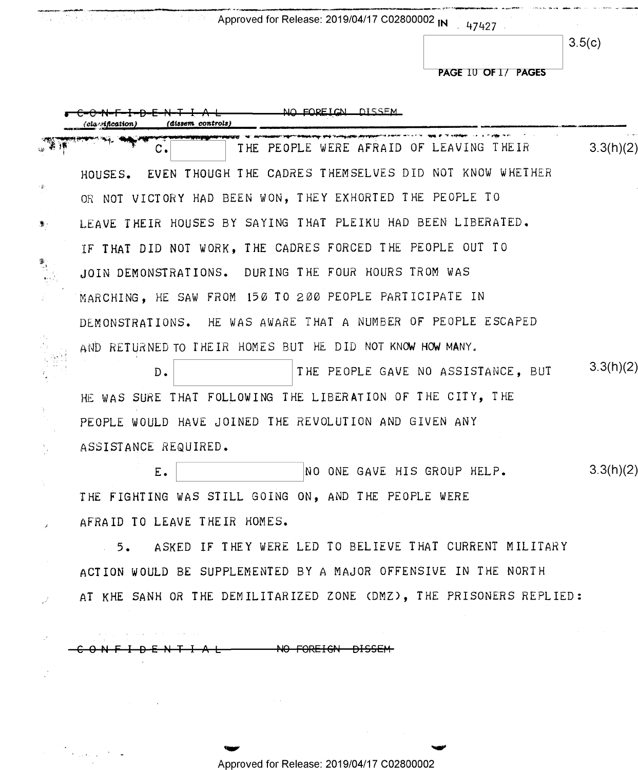Approved for Release: 2019/04/17 C02800002 IN 47427

 $3.5(c)$ 

PAGE 10 OF 1/ PAGES

|    | <u>NO FODEICN DISSEM</u><br>(dissem controls,<br>cla nfication      |           |
|----|---------------------------------------------------------------------|-----------|
|    | THE PEOPLE WERE AFRAID OF LEAVING THEIR<br>с.                       | 3.3(h)(2) |
|    | HOUSES. EVEN THOUGH THE CADRES THEMSELVES DID NOT KNOW WHETHER      |           |
|    | OR NOT VICTORY HAD BEEN WON, THEY EXHORTED THE PEOPLE TO            |           |
| D. | LEAVE THEIR HOUSES BY SAYING THAT PLEIKU HAD BEEN LIBERATED.        |           |
|    | IF THAT DID NOT WORK, THE CADRES FORCED THE PEOPLE OUT TO           |           |
|    | JOIN DEMONSTRATIONS. DURING THE FOUR HOURS TROM WAS                 |           |
|    | MARCHING, HE SAW FROM 150 TO 200 PEOPLE PARTICIPATE IN              |           |
|    | DEMONSTRATIONS. HE WAS AWARE THAT A NUMBER OF PEOPLE ESCAPED        |           |
|    | AND RETURNED TO THEIR HOMES BUT HE DID NOT KNOW HOW MANY.           |           |
|    | THE PEOPLE GAVE NO ASSISTANCE, BUT<br>$D$ .                         | 3.3(h)(2) |
|    | HE WAS SURE THAT FOLLOWING THE LIBERATION OF THE CITY, THE          |           |
|    | PEOPLE WOULD HAVE JOINED THE REVOLUTION AND GIVEN ANY               |           |
|    | ASSISTANCE REQUIRED.                                                |           |
|    | NO ONE GAVE HIS GROUP HELP.<br>Ε.                                   | 3.3(h)(2) |
|    | THE FIGHTING WAS STILL GOING ON, AND THE PEOPLE WERE                |           |
|    | AFRAID TO LEAVE THEIR HOMES.                                        |           |
|    | 5. ASKED IF THEY WERE LED TO BELIEVE THAT CURRENT MILITARY          |           |
|    | ACTION WOULD BE SUPPLEMENTED BY A MAJOR OFFENSIVE IN THE NORTH      |           |
|    | AT KHE SANH OR THE DEMILITARIZED ZONE (DMZ), THE PRISONERS REPLIED: |           |
|    |                                                                     |           |

C9-N-FI-D-E-N-TI-A-L HO-FOREIGN-DISSEM

 $\mathbb{Z}^2$ 

 $\label{eq:2} \frac{1}{\sqrt{2}}\sum_{i=1}^N\frac{1}{\sqrt{2}}\sum_{i=1}^N\frac{1}{\sqrt{2}}\sum_{i=1}^N\frac{1}{\sqrt{2}}\sum_{i=1}^N\frac{1}{\sqrt{2}}\sum_{i=1}^N\frac{1}{\sqrt{2}}\sum_{i=1}^N\frac{1}{\sqrt{2}}\sum_{i=1}^N\frac{1}{\sqrt{2}}\sum_{i=1}^N\frac{1}{\sqrt{2}}\sum_{i=1}^N\frac{1}{\sqrt{2}}\sum_{i=1}^N\frac{1}{\sqrt{2}}\sum_{i=1}^N\frac{1$ 

Approved for Release: 2019/04/17 C02800002

mv ww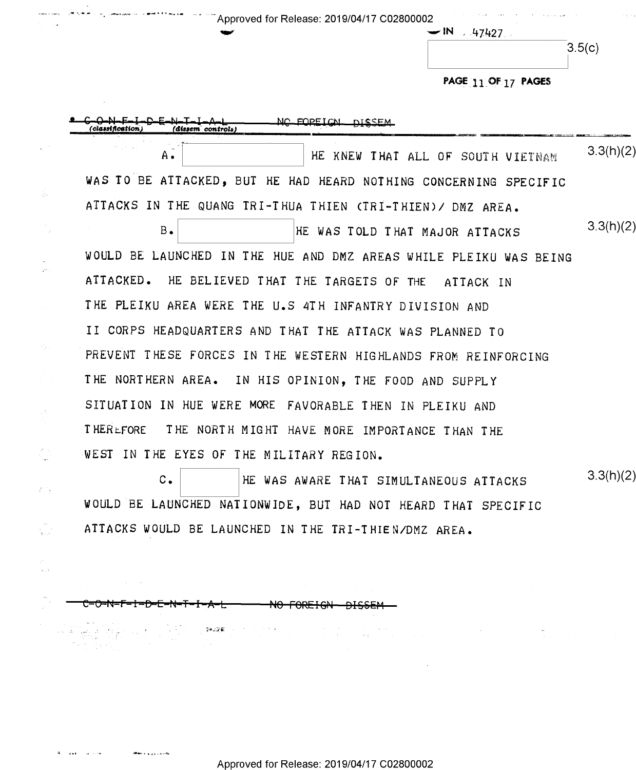$\sim$  "  $\sim$  "  $\sim$  "  $\sim$  "  $\sim$  " Approved for Release: 2019/04/17 C02800002

 $-1N$  . 47427.

PAGE 11 OF 17 PAGES

 $\mathcal{A}^{\mathcal{A}}$  and  $\mathcal{A}^{\mathcal{A}}$ 

|                            | HE KNEW THAT ALL OF SOUTH VIETNAM<br>А.                           | 3.3(h)(2) |
|----------------------------|-------------------------------------------------------------------|-----------|
|                            | WAS TO BE ATTACKED, BUT HE HAD HEARD NOTHING CONCERNING SPECIFIC  |           |
| ś.                         | ATTACKS IN THE QUANG TRI-THUA THIEN (TRI-THIEN)/ DMZ AREA.        |           |
|                            | $B_{\bullet}$<br>HE WAS TOLD THAT MAJOR ATTACKS                   | 3.3(h)(2) |
|                            | WOULD BE LAUNCHED IN THE HUE AND DMZ AREAS WHILE PLEIKU WAS BEING |           |
| $\mathcal{L}^{\text{MSE}}$ | ATTACKED. HE BELIEVED THAT THE TARGETS OF THE ATTACK IN           |           |
|                            | THE PLEIKU AREA WERE THE U.S 4TH INFANTRY DIVISION AND            |           |
|                            | II CORPS HEADQUARTERS AND THAT THE ATTACK WAS PLANNED TO          |           |
| in Suid-                   | PREVENT THESE FORCES IN THE WESTERN HIGHLANDS FROM REINFORCING    |           |
|                            | THE NORTHERN AREA. IN HIS OPINION, THE FOOD AND SUPPLY            |           |
| is t                       | SITUATION IN HUE WERE MORE FAVORABLE THEN IN PLEIKU AND           |           |
| $\gamma_{\rm c}$           | <b>THERLFORE</b><br>THE NORTH MIGHT HAVE MORE IMPORTANCE THAN THE |           |
| ζŒ.                        | WEST IN THE EYES OF THE MILITARY REGION.                          |           |
| 右手                         | $c_{\bullet}$<br>HE WAS AWARE THAT SIMULTANEOUS ATTACKS           | 3.3(h)(2) |
|                            | MOULD BE LABMOURD MATIOMATICE DUT HAD MOT                         |           |

ATTACKS WOULD BE LAUNCHED IN THE TRI—THIEN/DMZ AREA.

WOULD BE LAUNCHED NATIONWIDE, BUT HAD NOT HEARD THAT SPECIFIC

<del>C-O-N-F-I-D-E-N-T-I-A-L</del> NO FOREIGN DISSEM

 $\bar{z}$ 

- '.'-w\.:.'i€\'

 $\begin{split} \mathcal{L}^{\mathcal{A}}_{\mathcal{A}}\left(\mathcal{L}^{\mathcal{A}}_{\mathcal{A}}\right) & = \frac{1}{2} \left( \begin{array}{cc} \mathcal{L}_{\mathcal{A}} & \mathcal{L}_{\mathcal{A}} \\ \mathcal{L}_{\mathcal{A}} & \mathcal{L}_{\mathcal{A}} \end{array} \right) \left( \begin{array}{cc} \mathcal{L}_{\mathcal{A}} & \mathcal{L}_{\mathcal{A}} \\ \mathcal{L}_{\mathcal{A}} & \mathcal{L}_{\mathcal{A}} \end{array} \right) & = \frac{1}{2} \left( \begin{array}{cc} \mathcal{$ 

 $A_{\rm{max}}$  , and  $\sim 100$ 

 $\ddot{\phantom{0}}$ 

 $\begin{array}{c} \mathbb{R}^n \rightarrow \mathbb{R}^n \rightarrow \mathbb{R}^n \rightarrow \mathbb{R}^n \rightarrow \mathbb{R}^n \rightarrow \mathbb{R}^n \rightarrow \mathbb{R}^n \rightarrow \mathbb{R}^n \rightarrow \mathbb{R}^n \rightarrow \mathbb{R}^n \rightarrow \mathbb{R}^n \rightarrow \mathbb{R}^n \rightarrow \mathbb{R}^n \rightarrow \mathbb{R}^n \rightarrow \mathbb{R}^n \rightarrow \mathbb{R}^n \rightarrow \mathbb{R}^n \rightarrow \mathbb{R}^n \rightarrow \mathbb{R}^n \rightarrow \mathbb{R}^n \rightarrow \mathbb{R}^n \rightarrow \mathbb$ 

 $\mathcal{P}$  $\zeta_{11}$  is

 $\mathcal{A}_{\mathcal{A}}$ D)<br>P

**Went a particular** 

 $\label{eq:3.1} \begin{split} \mathcal{L}_{\text{eff}}(\mathbf{r}) &= \mathcal{L}_{\text{eff}}(\mathbf{r}) \mathcal{L}_{\text{eff}}(\mathbf{r}) \mathcal{L}_{\text{eff}}(\mathbf{r}) = \mathcal{L}_{\text{eff}}(\mathbf{r}) \mathcal{L}_{\text{eff}}(\mathbf{r}) \\ &= \mathcal{L}_{\text{eff}}(\mathbf{r}) \mathcal{L}_{\text{eff}}(\mathbf{r}) \mathcal{L}_{\text{eff}}(\mathbf{r}) = \mathcal{L}_{\text{eff}}(\mathbf{r}) \mathcal{L}_{\text{eff}}(\mathbf{r}) \mathcal{L}_{\text{eff}}(\mathbf$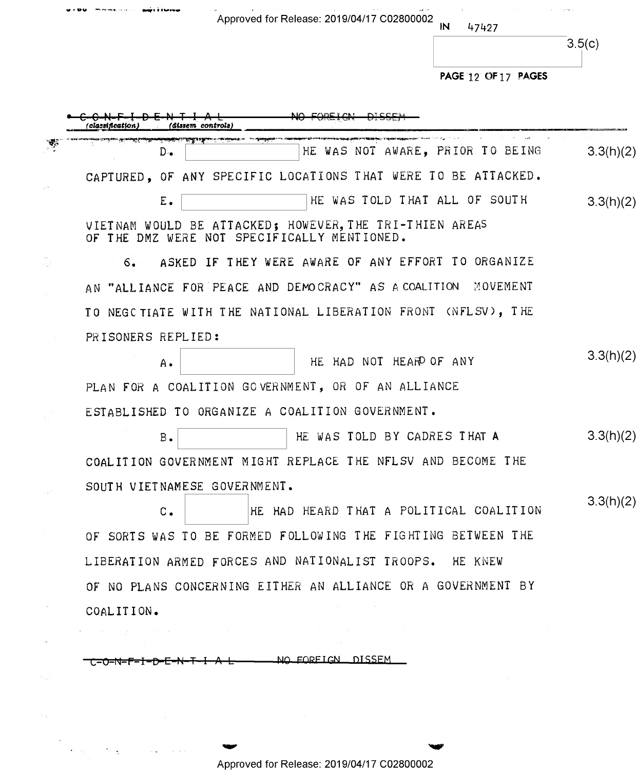PAGE 12 OF 17 PAGES HE WAS NOT AWARE. PRIOR TO BEING  $D 3.3(h)(2)$ CAPTURED, OF ANY SPECIFIC LOCATIONS THAT WERE TO BE ATTACKED. HE WAS TOLD THAT ALL OF SOUTH Ε.  $3.3(h)(2)$ VIETNAM WOULD BE ATTACKED; HOWEVER, THE TRI-THIEN AREAS OF THE DMZ WERE NOT SPECIFICALLY MENTIONED. ASKED IF THEY WERE AWARE OF ANY EFFORT TO ORGANIZE  $6.$ AN "ALLIANCE FOR PEACE AND DEMOCRACY" AS A COALITION MOVEMENT TO NEGC TIATE WITH THE NATIONAL LIBERATION FRONT (NFLSV), THE PRISONERS REPLIED:  $3.3(h)(2)$ HE HAD NOT HEAR OF ANY A. PLAN FOR A COALITION GOVERNMENT, OR OF AN ALLIANCE ESTABLISHED TO ORGANIZE A COALITION GOVERNMENT. HE WAS TOLD BY CADRES THAT A  $3.3(h)(2)$  $B -$ COALITION GOVERNMENT MIGHT REPLACE THE NFLSV AND BECOME THE SOUTH VIETNAMESE GOVERNMENT.  $3.3(h)(2)$ HE HAD HEARD THAT A POLITICAL COALITION  $C_{\bullet}$ OF SORTS WAS TO BE FORMED FOLLOWING THE FIGHTING BETWEEN THE LIBERATION ARMED FORCES AND NATIONALIST TROOPS. HE KNEW OF NO PLANS CONCERNING EITHER AN ALLIANCE OR A GOVERNMENT BY COALITION.

Approved for Release: 2019/04/17 C02800002

47427

 $3.5(c)$ 

NO FORFIGN DISSEM <del>▞▃▞▃▚▙▟▜▃▛▄▐▃▜▄▛▄▞</del>

Approved for Release: 2019/04/17 C02800002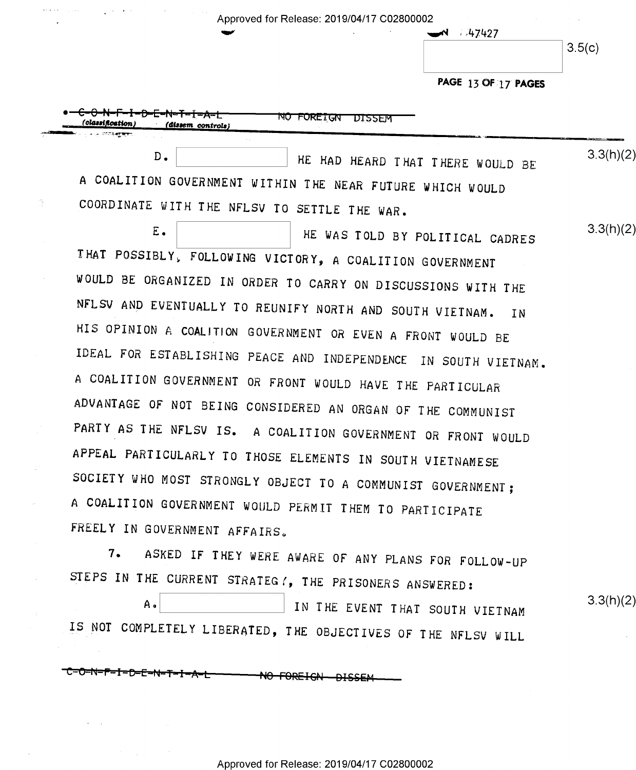$\blacksquare$ 

 $\rightarrow$  47427

3.5(C)

PAGE 13 OF 17 PAGES

| NO FOREIGN<br>DISSEM<br>(classification)<br>(dissem controls) |           |
|---------------------------------------------------------------|-----------|
| D.<br>HE HAD HEARD THAT THERE WOULD BE                        | 3.3(h)(2) |
| A COALITION GOVERNMENT WITHIN THE NEAR FUTURE WHICH WOULD     |           |
| COORDINATE WITH THE NFLSV TO SETTLE THE WAR.                  |           |
| Ε.<br>HE WAS TOLD BY POLITICAL CADRES                         | 3.3(h)(2) |
| THAT POSSIBLY, FOLLOWING VICTORY, A COALITION GOVERNMENT      |           |
| WOULD BE ORGANIZED IN ORDER TO CARRY ON DISCUSSIONS WITH THE  |           |

IHAT POSSIBLY, FOLLOWING VICTORY, A COALITION GOVERNMENT WOULD BE ORGANIZED IN ORDER TO CARRY ON DISCUSSIONS WITH THE NFLSV AND EVENTUALLY TO REUNIFY NORTH AND SOUTH VIETNAM. IN HIS OPINION A COALITION GOVERNMENT OR EVEN A FRONT WOULD BE IDEAL FOR ESTABLISHING PEACE AND INDEPENDENCE IN SOUTH VIETNAM. <sup>A</sup>COALITION GOVERNMENT OR FRONT WOULD HAVE THE PARTICULAR ADVANIAGE OF NOT BEING CONSIDERED AN ORGAN OF THE COMMUNIST PARTY AS THE NFLSV IS. <sup>A</sup>COALITION GOVERNMENT OR FRONT WOULD APPEAL PARTICULARLY TO THOSE ELEMENTS IN SOUTH VIETNAMESE SOCIETY WHO MOST STRONGLY OBJECT TO A COMMUNIST GOVERNMENT; <sup>A</sup>COALITION GOVERNMENT WOULD PERMIT THEM TO PARTICIPATE FREELY IN GOVERNMENT AFFAIRS.

7. ASKED IF THEY WERE AWARE OF ANY PLANS FOR FOLLOW—UP SIEPS IN THE CURRENT STRATEGI, THE PRISONERS ANSWERED:

<sup>33</sup>A¢[:::::::::::::::] IN THE EVENT THAT souTH VIETNAM IS NOT COMPLETELY LIBERATED, THE OBJECTIVES OF THE NFLSV WILL

 $3.3(h)(2)$ 

<del>C-O-N-F-I-D-E-N-T-I-A-L</del> NO FOREIGN DISSEM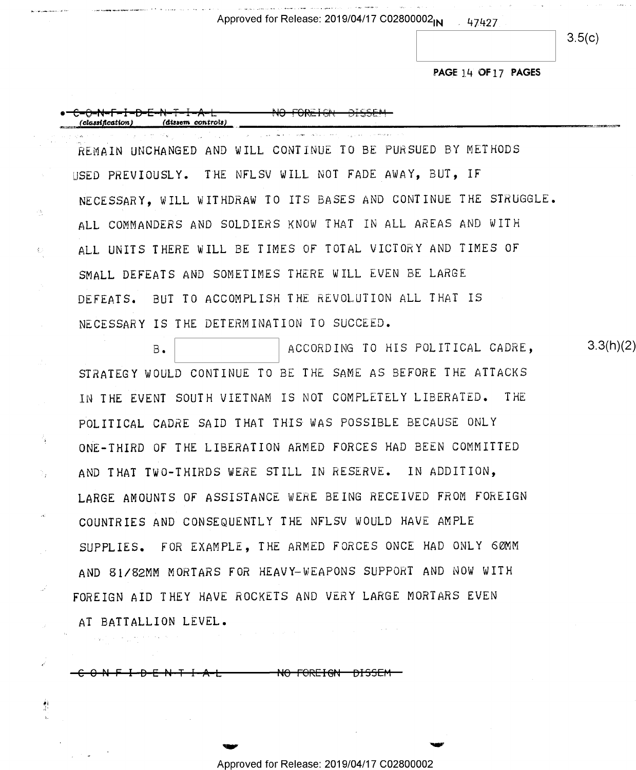Approved for Release: 2019/04/17 C02800002<sub>IN</sub> 47427

.<br>Sultan Alan Hermer Str

 $3.5(c)$ 

## PAGE 14 OF 17 PAGES

(classification) (dissem controls) REMAIN UNCHANGED AND WILL CONTINUE TO BE PURSUED BY METHODS USED PREVIOUSLY. THE NFLSV WILL NOT FADE AWAY, BUT, IF NECESSARY. WILL WITHDRAW TO ITS BASES AND CONTINUE THE STRUGGLE. ALL COMMANDERS AND SOLDIERS KNOW THAT IN ALL AREAS AND WITH ALL UNITS THERE WILL BE TIMES OF TOTAL VICTORY AND TIMES OF SMALL DEFEATS AND SOMETIMES THERE WILL EVEN BE LARGE DEFEATS. BUT TO ACCOMPLISH THE REVOLUTION ALL THAT IS

PA.

 $\xi_{\rm c}$ 

 $\mathcal{V}_T$ 

剪

 $3.3(h)(2)$ ACCORDING TO HIS POLITICAL CADRE,  $B -$ STRATEGY WOULD CONTINUE TO BE THE SAME AS BEFORE THE ATTACKS IN THE EVENT SOUTH VIETNAM IS NOT COMPLETELY LIBERATED. THE POLITICAL CADRE SAID THAT THIS WAS POSSIBLE BECAUSE ONLY ONE-THIRD OF THE LIBERATION ARMED FORCES HAD BEEN COMMITTED AND THAT TWO-THIRDS WERE STILL IN RESERVE. IN ADDITION, LARGE AMOUNTS OF ASSISTANCE WERE BEING RECEIVED FROM FOREIGN COUNTRIES AND CONSEQUENTLY THE NFLSV WOULD HAVE AMPLE SUPPLIES. FOR EXAMPLE, THE ARMED FORCES ONCE HAD ONLY 60MM AND 81/82MM MORTARS FOR HEAVY-WEAPONS SUPPORT AND NOW WITH FOREIGN AID THEY HAVE ROCKETS AND VERY LARGE MORTARS EVEN AT BATTALLION LEVEL.  $\sim 100$  km s  $^{-1}$ 

<del>-0 N F I -D E N T I -A L</del> <del>- NO FOREIGN- DISSEM-</del>

NECESSARY IS THE DETERMINATION TO SUCCEED.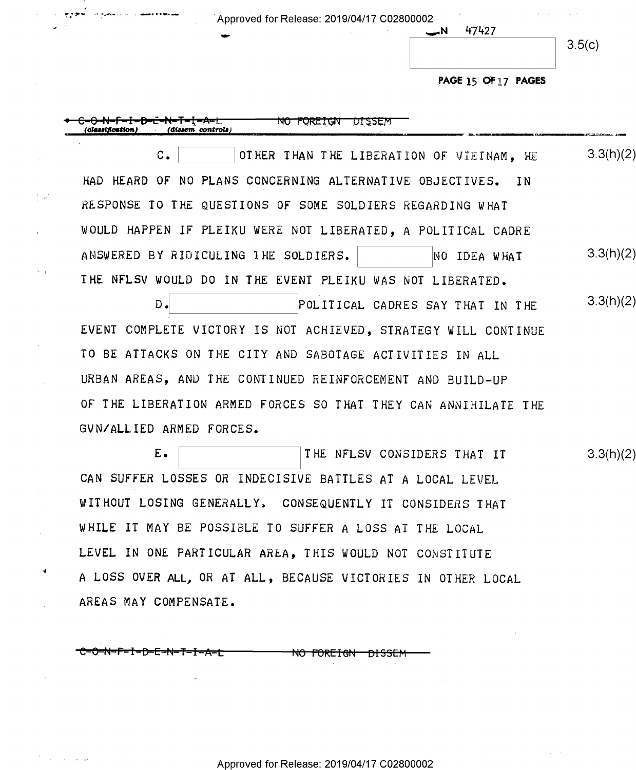| appears of the first paper | Approved for Release: 2019/04/17 C02800002 | <b>ALCOHOL: YES</b><br>All Arrest |
|----------------------------|--------------------------------------------|-----------------------------------|
| . .                        | 47427                                      | 3.5(c)                            |
|                            | PAGE 15 OF 17 PAGES                        |                                   |

 $\label{eq:2.1} \frac{1}{2} \sum_{i=1}^n \frac{1}{2} \sum_{j=1}^n \frac{1}{2} \sum_{j=1}^n \frac{1}{2} \sum_{j=1}^n \frac{1}{2} \sum_{j=1}^n \frac{1}{2} \sum_{j=1}^n \frac{1}{2} \sum_{j=1}^n \frac{1}{2} \sum_{j=1}^n \frac{1}{2} \sum_{j=1}^n \frac{1}{2} \sum_{j=1}^n \frac{1}{2} \sum_{j=1}^n \frac{1}{2} \sum_{j=1}^n \frac{1}{2} \sum_{j=1}^n \frac{$ 

 $\sim 10^7$ 

| NO FOREIGN<br>'dissem controls)<br>classification.             |           |
|----------------------------------------------------------------|-----------|
| $c_{\bullet}$<br>OTHER THAN THE LIBERATION OF VIETNAM, HE      | 3.3(h)(2) |
| HAD HEARD OF NO PLANS CONCERNING ALTERNATIVE OBJECTIVES. IN    |           |
| RESPONSE TO THE QUESTIONS OF SOME SOLDIERS REGARDING WHAT      |           |
| WOULD HAPPEN IF PLEIKU WERE NOT LIBERATED, A POLITICAL CADRE   |           |
| ANSWERED BY RIDICULING THE SOLDIERS.<br>NO IDEA WHAT           | 3.3(h)(2) |
| THE NFLSV WOULD DO IN THE EVENT PLEIKU WAS NOT LIBERATED.      |           |
| $D$ .<br>POLITICAL CADRES SAY THAT IN THE                      | 3.3(h)(2) |
| EVENT COMPLETE VICTORY IS NOT ACHIEVED, STRATEGY WILL CONTINUE |           |
| TO BE ATTACKS ON THE CITY AND SABOTAGE ACTIVITIES IN ALL       |           |
| URBAN AREAS, AND THE CONTINUED REINFORCEMENT AND BUILD-UP      |           |
| OF THE LIBERATION ARMED FORCES SO THAT THEY CAN ANNIHILATE THE |           |
| GVN/ALLIED ARMED FORCES.                                       |           |
| $E_{\bullet}$<br>THE NFLSV CONSIDERS THAT IT                   | 3.3(h)(2) |
| CAN SUFFER LOSSES OR INDECISIVE BATTLES AT A LOCAL LEVEL       |           |
| WITHOUT LOSING GENERALLY. CONSEQUENTLY IT CONSIDERS THAT       |           |
| WHILE IT MAY BE POSSIBLE TO SUFFER A LOSS AT THE LOCAL         |           |
| LEVEL IN ONE PARTICULAR AREA, THIS WOULD NOT CONSTITUTE        |           |
| A LOSS OVER ALL, OR AT ALL, BECAUSE VICTORIES IN OTHER LOCAL   |           |
| AREAS MAY COMPENSATE.                                          |           |

-C-O-N-F-I-D-E-N-T-I-A-L NO FOREIGN DISSEM

 $\sim 10^{11}$ 

Approved for Release: 2019/04/17 C02800002

 $\label{eq:2.1} \frac{1}{\sqrt{2}}\int_{\mathbb{R}^3}\frac{1}{\sqrt{2}}\left(\frac{1}{\sqrt{2}}\int_{\mathbb{R}^3}\frac{1}{\sqrt{2}}\left(\frac{1}{\sqrt{2}}\int_{\mathbb{R}^3}\frac{1}{\sqrt{2}}\left(\frac{1}{\sqrt{2}}\int_{\mathbb{R}^3}\frac{1}{\sqrt{2}}\right)\frac{1}{\sqrt{2}}\right)\frac{1}{\sqrt{2}}\right)=\frac{1}{2}\int_{\mathbb{R}^3}\frac{1}{\sqrt{2}}\int_{\mathbb{R}^3}\frac{1}{\sqrt{2}}\int_{\mathbb$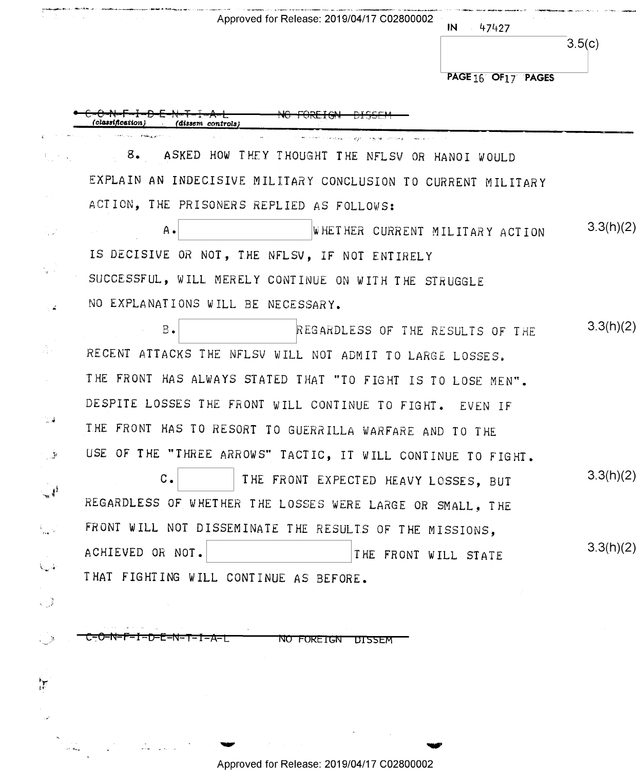|                   | Approved for Release: 2019/04/17 C02800002<br>$IN = 47427$    |                     |           |
|-------------------|---------------------------------------------------------------|---------------------|-----------|
|                   |                                                               |                     | 3.5(c)    |
|                   |                                                               | PAGE 16 OF 17 PAGES |           |
|                   | (cl <b>assificati</b> on)<br>$(dissem \text{ controls})$      |                     |           |
|                   | 8. ASKED HOW THEY THOUGHT THE NFLSV OR HANOI WOULD            |                     |           |
|                   | EXPLAIN AN INDECISIVE MILITARY CONCLUSION TO CURRENT MILITARY |                     |           |
|                   | ACTION, THE PRISONERS REPLIED AS FOLLOWS:                     |                     |           |
|                   | WHETHER CURRENT MILITARY ACTION<br>Α.                         |                     | 3.3(h)(2) |
|                   | IS DECISIVE OR NOT, THE NFLSV, IF NOT ENTIRELY                |                     |           |
|                   | SUCCESSFUL, WILL MERELY CONTINUE ON WITH THE STRUGGLE         |                     |           |
|                   | NO EXPLANATIONS WILL BE NECESSARY.                            |                     |           |
|                   | $B$ .<br>REGARDLESS OF THE RESULTS OF THE                     |                     | 3.3(h)(2) |
|                   | RECENT ATTACKS THE NFLSV WILL NOT ADMIT TO LARGE LOSSES.      |                     |           |
|                   | THE FRONT HAS ALWAYS STATED THAT "TO FIGHT IS TO LOSE MEN".   |                     |           |
|                   | DESPITE LOSSES THE FRONT WILL CONTINUE TO FIGHT. EVEN IF      |                     |           |
| <b>Contract</b>   | THE FRONT HAS TO RESORT TO GUERRILLA WARFARE AND TO THE       |                     |           |
| - 50              | USE OF THE "THREE ARROWS" TACTIC, IT WILL CONTINUE TO FIGHT.  |                     |           |
|                   | c.<br>THE FRONT EXPECTED HEAVY LOSSES, BUT                    |                     | 3.3(h)(2) |
|                   | REGARDLESS OF WHETHER THE LOSSES WERE LARGE OR SMALL, THE     |                     |           |
|                   | FRONT WILL NOT DISSEMINATE THE RESULTS OF THE MISSIONS,       |                     |           |
|                   | ACHIEVED OR NOT.<br>THE FRONT WILL STATE                      |                     | 3.3(h)(2) |
| $\chi_{\omega}$ ) | THAT FIGHTING WILL CONTINUE AS BEFORE.                        |                     |           |
| - 3               |                                                               |                     |           |
|                   | <b>NO FOREIGN</b><br>-1-A-L<br><u>DI 22FW</u>                 |                     |           |
|                   |                                                               |                     |           |

'av 'I!'

 $\sum_{i=1}^{n}$ 

 $\overline{\mathcal{L}}$ 

 $\begin{aligned} \sum_{\substack{\mathbf{p} \in \mathcal{P}(\mathbf{p}) \\ \mathbf{p} \in \mathcal{P}(\mathbf{q}) \\ \mathbf{p} \in \mathcal{P}(\mathbf{q})}} & \sum_{\substack{\mathbf{p} \in \mathcal{P}(\mathbf{p}) \\ \mathbf{p} \in \mathcal{P}(\mathbf{p}) \\ \mathbf{p} \in \mathcal{P}(\mathbf{p}) \\ \mathbf{p} \in \mathcal{P}(\mathbf{p})}} & \sum_{\substack{\mathbf{p} \in \mathcal{P}(\mathbf{p}) \\ \mathbf{p} \in \mathcal{P}(\mathbf{p}) \\ \mathbf{p}$